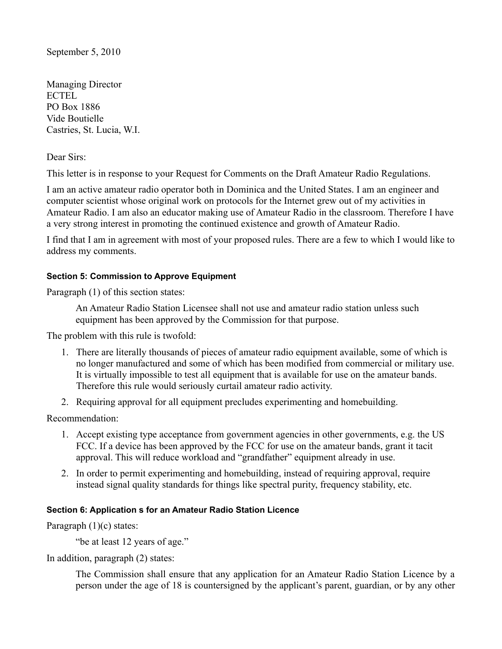Managing Director ECTEL PO Box 1886 Vide Boutielle Castries, St. Lucia, W.I.

Dear Sirs:

This letter is in response to your Request for Comments on the Draft Amateur Radio Regulations.

I am an active amateur radio operator both in Dominica and the United States. I am an engineer and computer scientist whose original work on protocols for the Internet grew out of my activities in Amateur Radio. I am also an educator making use of Amateur Radio in the classroom. Therefore I have a very strong interest in promoting the continued existence and growth of Amateur Radio.

I find that I am in agreement with most of your proposed rules. There are a few to which I would like to address my comments.

## **Section 5: Commission to Approve Equipment**

Paragraph (1) of this section states:

An Amateur Radio Station Licensee shall not use and amateur radio station unless such equipment has been approved by the Commission for that purpose.

The problem with this rule is twofold:

- 1. There are literally thousands of pieces of amateur radio equipment available, some of which is no longer manufactured and some of which has been modified from commercial or military use. It is virtually impossible to test all equipment that is available for use on the amateur bands. Therefore this rule would seriously curtail amateur radio activity.
- 2. Requiring approval for all equipment precludes experimenting and homebuilding.

Recommendation:

- 1. Accept existing type acceptance from government agencies in other governments, e.g. the US FCC. If a device has been approved by the FCC for use on the amateur bands, grant it tacit approval. This will reduce workload and "grandfather" equipment already in use.
- 2. In order to permit experimenting and homebuilding, instead of requiring approval, require instead signal quality standards for things like spectral purity, frequency stability, etc.

## **Section 6: Application s for an Amateur Radio Station Licence**

Paragraph (1)(c) states:

"be at least 12 years of age."

In addition, paragraph (2) states:

The Commission shall ensure that any application for an Amateur Radio Station Licence by a person under the age of 18 is countersigned by the applicant's parent, guardian, or by any other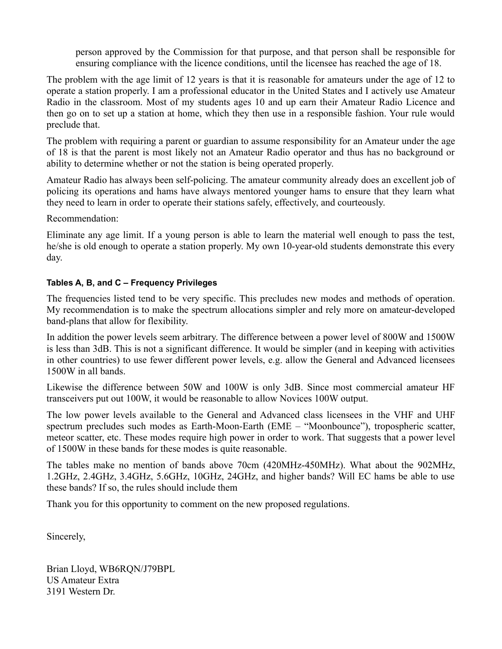person approved by the Commission for that purpose, and that person shall be responsible for ensuring compliance with the licence conditions, until the licensee has reached the age of 18.

The problem with the age limit of 12 years is that it is reasonable for amateurs under the age of 12 to operate a station properly. I am a professional educator in the United States and I actively use Amateur Radio in the classroom. Most of my students ages 10 and up earn their Amateur Radio Licence and then go on to set up a station at home, which they then use in a responsible fashion. Your rule would preclude that.

The problem with requiring a parent or guardian to assume responsibility for an Amateur under the age of 18 is that the parent is most likely not an Amateur Radio operator and thus has no background or ability to determine whether or not the station is being operated properly.

Amateur Radio has always been self-policing. The amateur community already does an excellent job of policing its operations and hams have always mentored younger hams to ensure that they learn what they need to learn in order to operate their stations safely, effectively, and courteously.

Recommendation:

Eliminate any age limit. If a young person is able to learn the material well enough to pass the test, he/she is old enough to operate a station properly. My own 10-year-old students demonstrate this every day.

## **Tables A, B, and C – Frequency Privileges**

The frequencies listed tend to be very specific. This precludes new modes and methods of operation. My recommendation is to make the spectrum allocations simpler and rely more on amateur-developed band-plans that allow for flexibility.

In addition the power levels seem arbitrary. The difference between a power level of 800W and 1500W is less than 3dB. This is not a significant difference. It would be simpler (and in keeping with activities in other countries) to use fewer different power levels, e.g. allow the General and Advanced licensees 1500W in all bands.

Likewise the difference between 50W and 100W is only 3dB. Since most commercial amateur HF transceivers put out 100W, it would be reasonable to allow Novices 100W output.

The low power levels available to the General and Advanced class licensees in the VHF and UHF spectrum precludes such modes as Earth-Moon-Earth (EME – "Moonbounce"), tropospheric scatter, meteor scatter, etc. These modes require high power in order to work. That suggests that a power level of 1500W in these bands for these modes is quite reasonable.

The tables make no mention of bands above 70cm (420MHz-450MHz). What about the 902MHz, 1.2GHz, 2.4GHz, 3.4GHz, 5.6GHz, 10GHz, 24GHz, and higher bands? Will EC hams be able to use these bands? If so, the rules should include them

Thank you for this opportunity to comment on the new proposed regulations.

Sincerely,

Brian Lloyd, WB6RQN/J79BPL US Amateur Extra 3191 Western Dr.